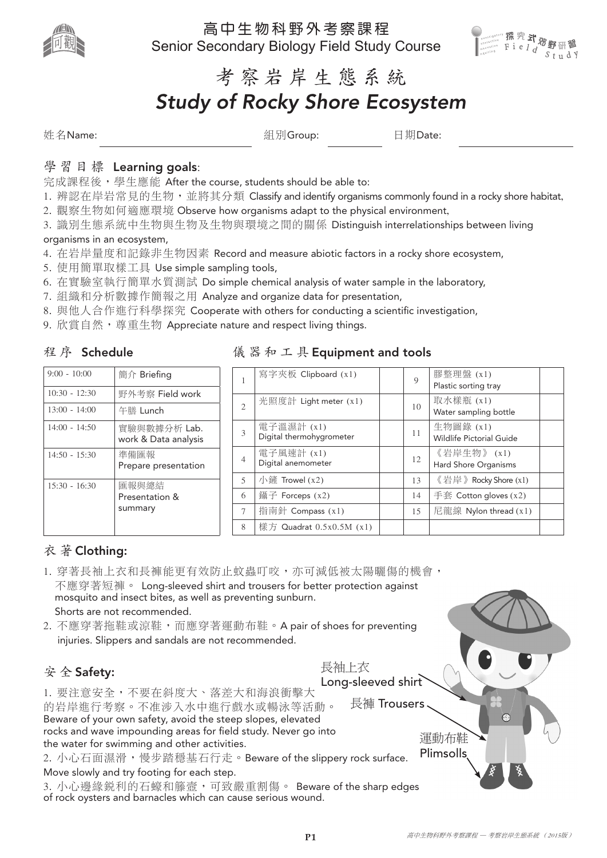

高中生物科野外考察課程 Senior Secondary Biology Field Study Course



# 考察岩岸生態系統

# *Study of Rocky Shore Ecosystem*

姓名Name: 組別Group: 日期Date:

## 學習目標 Learning goals:

完成課程後, 學生應能 After the course, students should be able to:

- 1. 辨認在岸岩常見的生物, 並將其分類 Classify and identify organisms commonly found in a rocky shore habitat,
- 2. 觀察生物如何適應環境 Observe how organisms adapt to the physical environment,
- 3. 識別生態系統中生物與生物及生物與環境之間的關係 Distinguish interrelationships between living

#### organisms in an ecosystem,

- 4. 在岩岸量度和記錄非生物因素 Record and measure abiotic factors in a rocky shore ecosystem,
- 5. 使用簡單取樣工具 Use simple sampling tools,
- 6. 在實驗室執行簡單水質測試 Do simple chemical analysis of water sample in the laboratory,
- 7. 組織和分析數據作簡報之用 Analyze and organize data for presentation,
- 8. 與他人合作進行科學探究 Cooperate with others for conducting a scientific investigation,
- 9. 欣賞自然, 尊重生物 Appreciate nature and respect living things.

### 程序 Schedule

| $9:00 - 10:00$  | 簡介 Briefing                          |
|-----------------|--------------------------------------|
| $10:30 - 12:30$ | 野外考察 Field work                      |
| $13:00 - 14:00$ | 午膳 Lunch                             |
| $14:00 - 14:50$ | 實驗與數據分析 Lab.<br>work & Data analysis |
| $14:50 - 15:30$ | 準備匯報<br>Prepare presentation         |
| $15:30 - 16:30$ | 匯報與總結<br>Presentation &<br>summary   |

## 儀器和工具 Equipment and tools

| 1              | 寫字夾板 Clipboard (x1)                    | 9  | 膠整理盤 (x1)<br>Plastic sorting tray     |  |
|----------------|----------------------------------------|----|---------------------------------------|--|
| $\overline{2}$ | 光照度計 Light meter $(x1)$                | 10 | 取水樣瓶 (x1)<br>Water sampling bottle    |  |
| 3              | 電子溫濕計 (x1)<br>Digital thermohygrometer | 11 | 生物圖錄 (x1)<br>Wildlife Pictorial Guide |  |
| 4              | 電子風速計 (x1)<br>Digital anemometer       | 12 | 《岩岸生物》 (x1)<br>Hard Shore Organisms   |  |
| 5              | 小鏟 Trowel $(x2)$                       | 13 | 《岩岸》Rocky Shore $(x1)$                |  |
| 6              | 鑷子 Forceps $(x2)$                      | 14 | 手套 Cotton gloves $(x2)$               |  |
| 7              | 指南針 Compass (x1)                       | 15 | 尼龍線 Nylon thread $(x1)$               |  |
| 8              | 樣方 Quadrat $0.5x0.5M(x1)$              |    |                                       |  |

## 衣 著 Clothing:

- 1. 穿著長袖上衣和長褲能更有效防止蚊蟲叮咬,亦可減低被太陽曬傷的機會, 不應穿著短褲。 Long-sleeved shirt and trousers for better protection against mosquito and insect bites, as well as preventing sunburn. Shorts are not recommended.
- 2. 不應穿著拖鞋或涼鞋,而應穿著運動布鞋。A pair of shoes for preventing injuries. Slippers and sandals are not recommended.

## 安 全 Safety:

1. 要注意安全,不要在斜度大、落差大和海浪衝擊大 的岩岸進行考察。不准涉入水中進行戲水或暢泳等活動。 Beware of your own safety, avoid the steep slopes, elevated rocks and wave impounding areas for field study. Never go into the water for swimming and other activities. 2. 小心石面濕滑,慢步踏穩基石行走。Beware of the slippery rock surface. Long-sleeved shirt 長褲 Trousers 運動布鞋 Plimsolls

Move slowly and try footing for each step.

3. 小心邊緣銳利的石蠔和籐壼,可致嚴重割傷。 Beware of the sharp edges of rock oysters and barnacles which can cause serious wound.



長袖上衣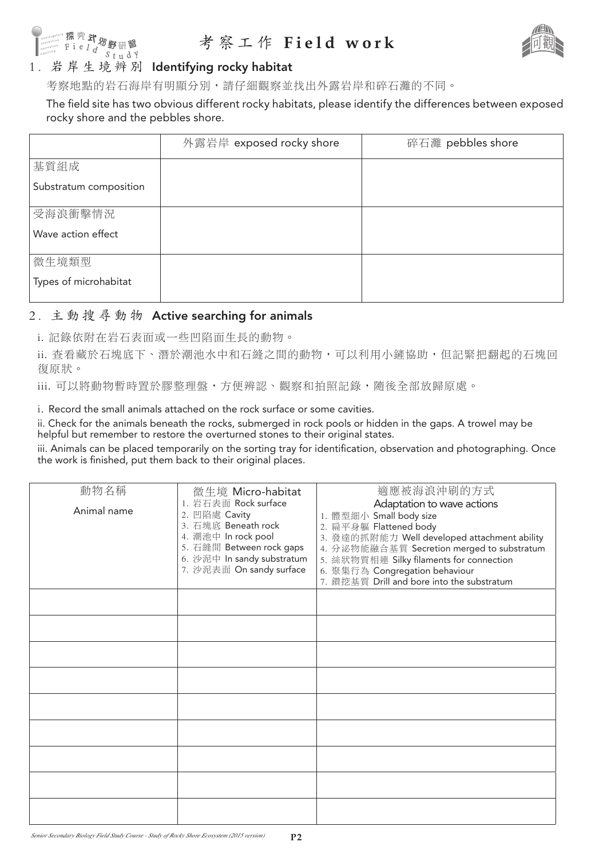

## 考察工作 **Field work**



考察地點的岩石海岸有明顯分別,請仔細觀察並找出外露岩岸和碎石灘的不同。

The field site has two obvious different rocky habitats, please identify the differences between exposed rocky shore and the pebbles shore.

|                        | 外露岩岸 exposed rocky shore | 碎石灘 pebbles shore |
|------------------------|--------------------------|-------------------|
| 基質組成                   |                          |                   |
| Substratum composition |                          |                   |
| 受海浪衝擊情況                |                          |                   |
| Wave action effect     |                          |                   |
| 微生境類型                  |                          |                   |
| Types of microhabitat  |                          |                   |

#### 2. 主動搜尋動物 Active searching for animals

i. 記錄依附在岩石表面或一些凹陷面生長的動物。

ii. 查看藏於石塊底下、潛於潮池水中和石縫之間的動物,可以利用小鏟協助,但記緊把翻起的石塊回 復原狀。

iii. 可以將動物暫時置於膠整理盤,方便辨認、觀察和拍照記錄,隨後全部放歸原處。

i. Record the small animals attached on the rock surface or some cavities.

ii. Check for the animals beneath the rocks, submerged in rock pools or hidden in the gaps. A trowel may be helpful but remember to restore the overturned stones to their original states.

iii. Animals can be placed temporarily on the sorting tray for identification, observation and photographing. Once the work is finished, put them back to their original places.

| 動物名稱<br>Animal name | 微生境 Micro-habitat<br>1. 岩石表面 Rock surface<br>2. 凹陷處 Cavity<br>3. 石塊底 Beneath rock<br>4. 潮池中 In rock pool<br>5. 石縫間 Between rock gaps<br>6. 沙泥中 In sandy substratum<br>7. 沙泥表面 On sandy surface | 適應被海浪沖刷的方式<br>Adaptation to wave actions<br>1. 體型細小 Small body size<br>2. 扁平身軀 Flattened body<br>3. 發達的抓附能力 Well developed attachment ability<br>4. 分泌物能融合基質 Secretion merged to substratum<br>5. 絲狀物質相連 Silky filaments for connection<br>6. 聚集行為 Congregation behaviour<br>7. 鑽挖基質 Drill and bore into the substratum |
|---------------------|------------------------------------------------------------------------------------------------------------------------------------------------------------------------------------------------|-------------------------------------------------------------------------------------------------------------------------------------------------------------------------------------------------------------------------------------------------------------------------------------------------------------------------|
|                     |                                                                                                                                                                                                |                                                                                                                                                                                                                                                                                                                         |
|                     |                                                                                                                                                                                                |                                                                                                                                                                                                                                                                                                                         |
|                     |                                                                                                                                                                                                |                                                                                                                                                                                                                                                                                                                         |
|                     |                                                                                                                                                                                                |                                                                                                                                                                                                                                                                                                                         |
|                     |                                                                                                                                                                                                |                                                                                                                                                                                                                                                                                                                         |
|                     |                                                                                                                                                                                                |                                                                                                                                                                                                                                                                                                                         |
|                     |                                                                                                                                                                                                |                                                                                                                                                                                                                                                                                                                         |
|                     |                                                                                                                                                                                                |                                                                                                                                                                                                                                                                                                                         |
|                     |                                                                                                                                                                                                |                                                                                                                                                                                                                                                                                                                         |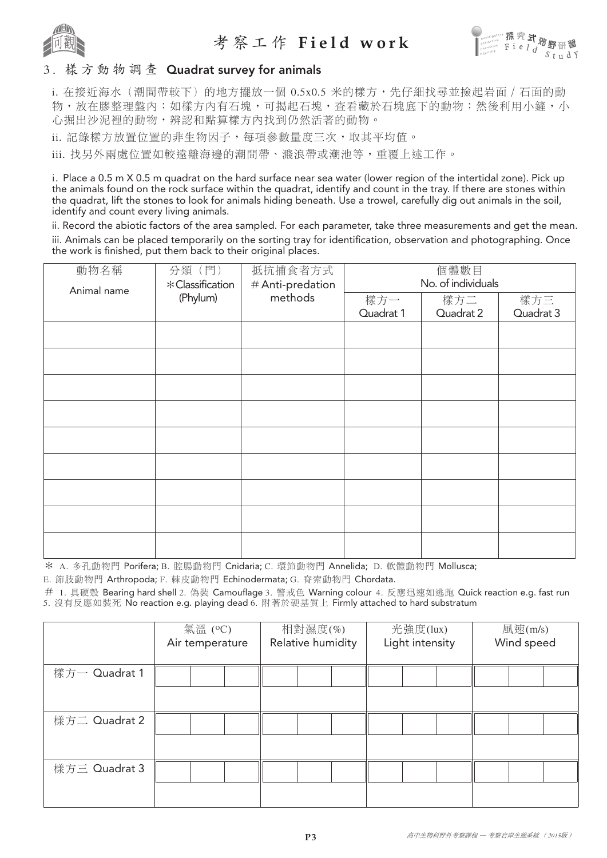

## 考察工作 **Field work**



#### 3. 樣方動物調查 Quadrat survey for animals

i. 在接近海水(潮間帶較下)的地方擺放一個 0.5x0.5 米的樣方,先仔細找尋並撿起岩面 / 石面的動 物,放在膠整理盤內;如樣方內有石塊,可揭起石塊,查看藏於石塊底下的動物;然後利用小鏟,小 心掘出沙泥裡的動物,辨認和點算樣方內找到仍然活著的動物。

ii. 記錄樣方放置位置的非生物因子,每項參數量度三次,取其平均值。

iii. 找另外兩處位置如較遠離海邊的潮間帶、濺浪帶或潮池等,重覆上述工作。

i. Place a 0.5 m X 0.5 m quadrat on the hard surface near sea water (lower region of the intertidal zone). Pick up the animals found on the rock surface within the quadrat, identify and count in the tray. If there are stones within the quadrat, lift the stones to look for animals hiding beneath. Use a trowel, carefully dig out animals in the soil, identify and count every living animals.

ii. Record the abiotic factors of the area sampled. For each parameter, take three measurements and get the mean. iii. Animals can be placed temporarily on the sorting tray for identification, observation and photographing. Once the work is finished, put them back to their original places.

| 動物名稱 | 分類(門)<br>抵抗捕食者方式<br>* Classification<br># Anti-predation<br>Animal name<br>methods<br>(Phylum) |                  | 個體數目<br>No. of individuals |                  |  |  |
|------|------------------------------------------------------------------------------------------------|------------------|----------------------------|------------------|--|--|
|      |                                                                                                | 樣方一<br>Quadrat 1 | 樣方二<br>Quadrat 2           | 樣方三<br>Quadrat 3 |  |  |
|      |                                                                                                |                  |                            |                  |  |  |
|      |                                                                                                |                  |                            |                  |  |  |
|      |                                                                                                |                  |                            |                  |  |  |
|      |                                                                                                |                  |                            |                  |  |  |
|      |                                                                                                |                  |                            |                  |  |  |
|      |                                                                                                |                  |                            |                  |  |  |
|      |                                                                                                |                  |                            |                  |  |  |
|      |                                                                                                |                  |                            |                  |  |  |
|      |                                                                                                |                  |                            |                  |  |  |

\* A. 多孔動物門 Porifera; B. 腔腸動物門 Cnidaria; C. 環節動物門 Annelida; D. 軟體動物門 Mollusca;

E. 節肢動物門 Arthropoda; F. 棘皮動物門 Echinodermata; G. 脊索動物門 Chordata.

# 1. 具硬殼 Bearing hard shell 2. 偽裝 Camouflage 3. 警戒色 Warning colour 4. 反應迅速如逃跑 Quick reaction e.g. fast run 5. 沒有反應如裝死 No reaction e.g. playing dead 6. 附著於硬基質上 Firmly attached to hard substratum

|               | 氣溫 (°C)<br>Air temperature | 相對濕度(%)<br>Relative humidity | 光強度(lux)<br>Light intensity | 風速(m/s)<br>Wind speed |  |
|---------------|----------------------------|------------------------------|-----------------------------|-----------------------|--|
| 樣方一 Quadrat 1 |                            |                              |                             |                       |  |
| 樣方二 Quadrat 2 |                            |                              |                             |                       |  |
| 樣方三 Quadrat 3 |                            |                              |                             |                       |  |